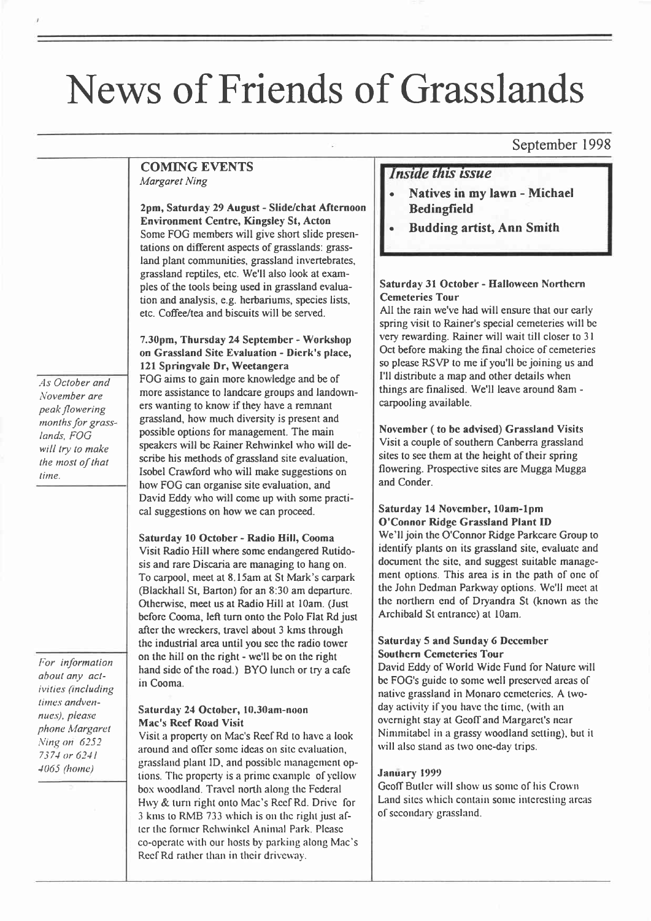# News of Friends of Grasslands

### September 1998

#### COMING EVENTS Margaret Ning

2pm, Saturday 29 August - Slide/chat Aftcrnoon Enyironment Centrc, Kingsley St, Acton Some FOG members will give short slide presentations on different aspects of grasslands: grassland plant communities, grassland invertebrates, grassland reptiles, etc. We'll also look at examples of the tools being used in grassland evaluation and analysis, e.g. herbariums, species lists, etc. Coffee/tea and biscuits will be served.

As October and November are peak /lowering months for grasslands, FOG will try to make the most of that time.

For information aboul any aclivilies (including times andvennues), please phone Margaret Ning on 6252 7371 or 621 I 1065 (homc)

7.30pm, Thursday 24 Septembcr - Workshop on Grassland Sitc Evaluation - Dicrk's place, 121 Springvale Dr, Weetangera FOG aims to gain more knowledge and be of more assistance to landcare groups and landowners wanting to know if they have a remnant grassland, how much diversity is present and possible options for management. The main speakers will be Rainer Rehwinkel who will describe his methods of grassland site evaluation, Isobel Crawford who will make suggestions on how FOG can organise site evaluation, and David Eddy who will come up with some practical suggestions on how we can proceed.

Saturday 10 Octobcr - Radio Hill, Cooma Visit Radio Hill where some endangered Rutidosis and rare Discaria are managing to hang on. To carpool, meet at 8.l5am at St Mark's carpark (Blackhall St, Barton) for an 8:30 am departure. Otherwisc, meet us at Radio Hill at l0am. (Just beforc Cooma, left turn onto the Polo Flat Rd just after thc wreckers, travcl about 3 kms through thc industrial area until you scc thc radio towcr on thc hill on thc right - wc'll bc on the right hand side of the road.) BYO lunch or try a cafe in Cooma.

#### Saturday 24 Octobcr, l0.30am-noon Mac's Rccf Road Visit

Visit a propcrty on Mac's Rccf Rd to havc a look around and offcr somc idcas on sitc cvaluation, grassland plant ID, and possible management options. The property is a prime example of yellow box woodland. Travel north along the Federal Hwy & turn right onto Mac's Reef Rd. Drive for 3 kms to RMB 733 which is on the right just after the former Rehwinkel Animal Park. Please co-operate with our hosts by parking along Mac's Recf Rd rather than in their driveway.

### Inside this issue

- . Natives in my lawn Michael Bedingfield
- . Budding artist, Ann Smith

#### Saturday 31 October - Hallowccn Northcrn Ccmctcrics Tour

All the rain we've had will ensure that our early spring visit to Rainer's special cemeteries will be very rewarding. Rainer will wait till closer to 3l Oct before making the final choice of cemeteries so please RSVP to me if you'll be joining us and I'll distribute a map and other details when things are finalised. We'll leave around 8am carpooling available.

Novembcr ( to be adviscd) Grassland Visits Visit a couple of southern Canberra grassland sites to see them at the height of their spring flowering. Prospective sites are Mugga Mugga and Conder.

#### Saturday 14 Novcmber, l0am-1pm O'Connor Ridge Grassland Plant ID

We'll join the O'Connor Ridge Parkcare Group to identify plants on its grassland site, evaluatc and document the site, and suggest suitable management options. This area is in thc path of onc of the John Dedman Parkway options. Wc'll mcct at thc northcrn end of Dryandra St (known as thc Archibald St cntrancc) at l0am.

#### Saturday 5 and Sunday 6 Dcccmbcr Southcrn Ccmctcrics Tour

David Eddy of World Widc Fund for Naturc will bc FOG's guide to some well preserved areas of native grassland in Monaro cemeteries. A twoday activity if you have the time, (with an overnight stay at Geoff and Margaret's near Nimmitabel in a grassy woodland setting), but it will also stand as two one-day trips.

#### January 1999

Geoff Butler will show us some of his Crown Land sites which contain some interesting areas of secondary grassland.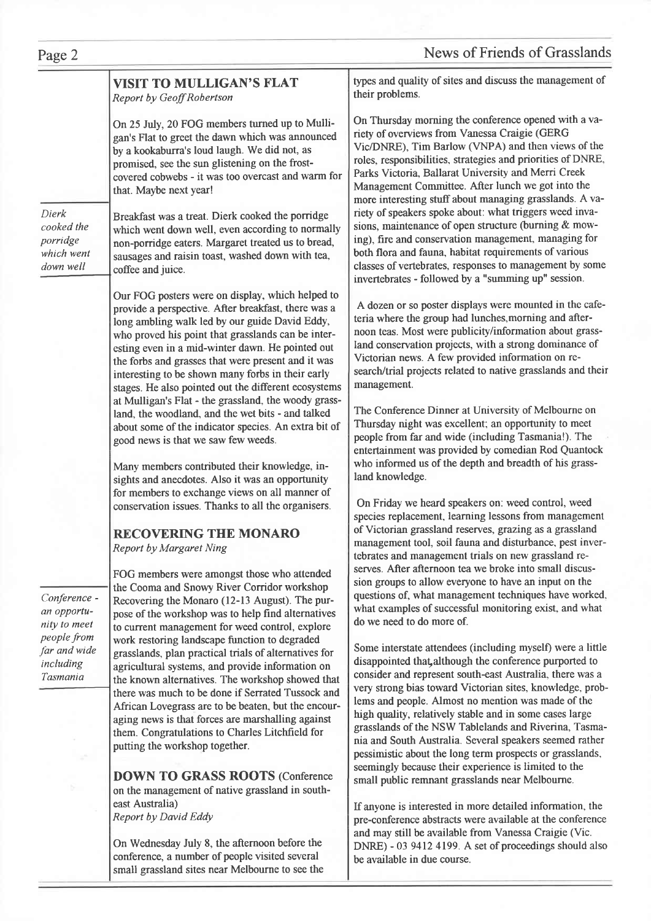# Page 2 News of Friends of Grasslands

### VISIT TO MULLIGAN'S FLAT Report by Geoff Robertson

On 25 JuIy, 20 FOG members turned up to Mulligan's Flat to greet the dawn which was announced by a kookaburra's loud laugh. We did not, as promised, see the sun glistening on the frostcovered cobwebs - it was too overcast and warm for that. Maybe next year!

Dierk cooked the porridge which went down well

Breakfast was a treat. Dierk cooked the porridge which went down well, even according to normally non-porridge eaters. Margaret treated us to bread, sausages and raisin toast, washed down with tea, coffee and juice.

Our FOG posters were on display, which helped to provide a perspective. After breakfast, there was a long ambling walk led by our guide David Eddy, who proved his point that grasslands can be interesting even in a mid-winter dawn. He pointed out the forbs and grasses that were present and it was interesting to be shown many forbs in their early stages. He also pointed out the different ecosystems at Mulligan's Flat - the grassland, the woody grassland, the woodland, and the wet bits - and talked about some of the indicator species. An extra bit of good news is that we saw few weeds.

Many members contributed their knowledge, insights and anecdotes. Also it was an opportunity for members to exchange views on all manner of conseryation issues. Thanks to all the organisers.

# RECOVERING THE MONARO

Report by Margaret Ning

FOG members were amongst those who aftended the Cooma and Snowy River Corridor workshop Recovering the Monaro (12-13 August). The purpose of the workshop was to help find alternatives to current management for weed control, explore work restoring landscape function to degraded grasslands, plan practical trials of alternatives for agricultural systems, and provide information on the known alternatives. The workshop showed that there was much to be done if Serrated Tussock and African Lovegrass are to be beaten, but the encouraging news is that forces are marshalling against them. Congratulations to Charles Litchfield for putting the workshop together.

DOWN TO GRASS ROOTS (Conference on the management of native grassland in southeast Australia) Report by David Eddy

On Wednesday July 8, the afternoon before the conference, a number of people visited several small grassland sites near Melbourne to see the types and quality of sites and discuss the management of their problems.

On Thursday morning the conference opened with a variety of overviews from Vanessa Craigie (GERG Vic/DNRE), Tim Barlow (VNPA) and then views of the roles, responsibilities. strategies and priorities of DNRE, Parks Victoria, Ballarat University and Merri Creek Management Committee. After lunch we got into the more interesting stuff about managing grasslands. A variety of speakers spoke about: what triggers weed invasions, maintenance of open structure (burning  $&$  mowing), fire and conservation management, managing for both flora and fauna, habitat requirements of various classes of vertebrates, responses to management by some invertebrates - followed by a "summing up" session.

A dozen or so poster displays were mounted in the cafeteria where the group had lunches,morning and afternoon teas. Most were publicity/information about grassland conservation projects, with a strong dominance of Victorian news. A few provided information on research/trial projects related to native grasslands and their management.

The Conference Dinner at University of Melbourne on Thursday night was excellent, an opportunity to meet people from far and wide (including Tasmania!). The entertainment was provided by comedian Rod Quantock who informed us of the depth and breadth of his grassland knowledge.

On Friday we heard speakers on: weed control, weed species replacement, learning lessons from management of Victorian grassland reserves, grazing as a grassland management tool, soil fauna and disturbance. pest invertebrates and management trials on new grassland reserves. After afternoon tea we broke into small discussion groups to allow everyone to have an input on the questions of, what management techniques have worked. what examples of successful monitoring exist, and what do we need to do more of.

Some interstate attendees (including myself) were a little disappointed that, although the conference purported to consider and represent south-east Australia, there was a very strong bias toward Victorian sites, knowledge, problems and people. Almost no mention was made of the high quality, relatively stable and in some cases large grasslands of the NSW Tablelands and Riverina, Tasmania and South Australia. Several speakers seemed rather pessimistic about the long term prospects or grasslands, seemingly because their experience is limited to the small public remnant grasslands near Melbourne.

If anyone is interested in more detailed information, the pre-conference abstracts were available at the conference and may still be available from Vanessa Craigie (Vic. DNRE) -03 9412 4199. A set of proceedings should also be available in due course.

#### Conference an opportunity to meet people from far and wide including Tasmania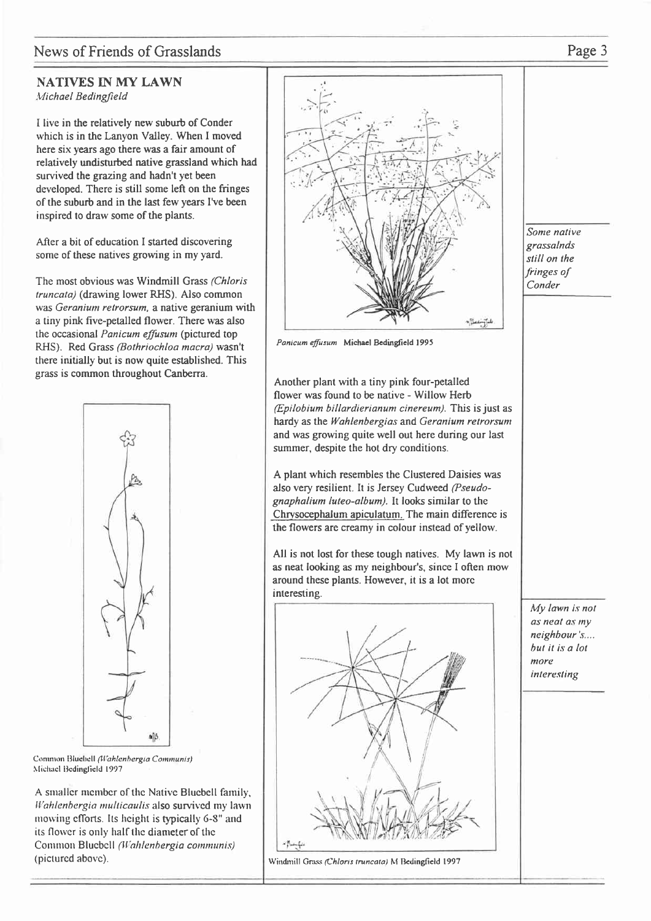## News of Friends of Grasslands Page 3

### NATIVES IN MY LAWN Michael Bedingfield

I live in the relatively new suburb of Conder which is in the Lanyon Valley. When I moved here six years ago there was a fair amount of relatively undisturbed native grassland which had survived the grazing and hadn't yet been developed. There is still some left on the fringes of the suburb and in the last few years I've been inspired to draw some of the plants.

After a bit of education I started discovering some of these natives growing in my yard.

The most obvious was Windmill Grass (Chloris truncata) (drawing lower RHS). Also common was Geranium retrorsum, a native geranium with a tiny pink five-petalled flower. There was also the occasional Panicum effusum (pictured top RHS). Red Grass (Bothriochloa macra) wasn't there initially but is now quite established. This grass is common throughout Canberra.



Common Bluebell (Wahlenbergia Communis) Michael Bedingfield 1997

A smaller member of the Native Bluebell family, Wahlenbergia multicaulis also survived my lawn mowing efforts. Its height is typically 6-8" and its flower is only half the diameter of the Common Bluebell (Wahlenbergia communis) (picturcd abovc).



Panicum effusum Michael Bedingfield 1995

Another plant with a tiny pink four-petalled flower was found to be native - Willow Herb  $(Epilobium billardierianum cinereum)$ . This is just as hardy as the Wahlenbergias and Geranium retrorsum and was growing quite well out here during our last summer, despite the hot dry conditions.

A plant which resembles the Clustered Daisies was also very resilient. It is Jersey Cudweed (Pseudognaphalium luteo-album). It looks similar to the Chrysocephalum apiculatum. The main diflerence is the flowers are creamy in colour instead of yellow.

All is not lost for these tough natives. My lawn is not as neat looking as my neighbour's, since I often mow around these plants. However, it is a lot morc interesting.



Windmill Grass (Chloris truncata) M Bedingfield 1997

Some nalive grassalnds still on the fringes of Conder

My lawn is not as neat as my neighbour's.... hul il is a lol morc inleresling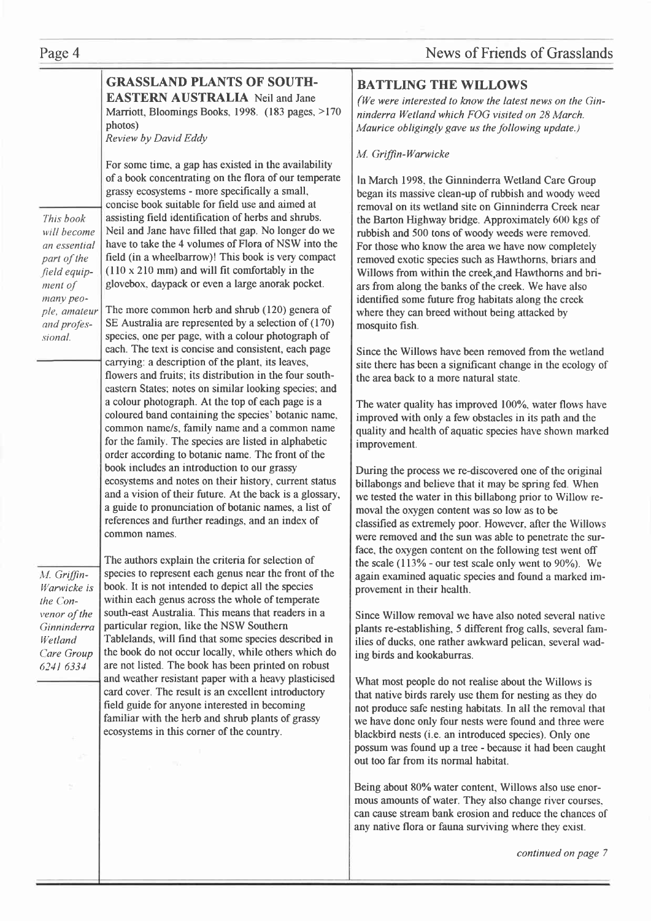# News of Friends of Grasslands

|              | <b>GRASSLAND PLANTS OF SOUTH-</b>                                                                         | <b>BA</b>      |
|--------------|-----------------------------------------------------------------------------------------------------------|----------------|
|              | <b>EASTERN AUSTRALIA</b> Neil and Jane                                                                    | (We            |
|              | Marriott, Bloomings Books, 1998. (183 pages, >170                                                         | nind           |
|              | photos)<br>Review by David Eddy                                                                           | Mau            |
|              | For some time, a gap has existed in the availability                                                      | M. C           |
|              | of a book concentrating on the flora of our temperate                                                     | ln M           |
|              | grassy ecosystems - more specifically a small,                                                            | bega           |
|              | concise book suitable for field use and aimed at                                                          | remo           |
| This book    | assisting field identification of herbs and shrubs.                                                       | the I          |
| will become  | Neil and Jane have filled that gap. No longer do we                                                       | rubb           |
| an essential | have to take the 4 volumes of Flora of NSW into the                                                       | For 1          |
| part of the  | field (in a wheelbarrow)! This book is very compact                                                       | remo           |
| field equip- | $(110 \times 210 \text{ mm})$ and will fit comfortably in the                                             | Will           |
| ment of      | glovebox, daypack or even a large anorak pocket.                                                          | ars f          |
| many peo-    |                                                                                                           | iden           |
| ple, amateur | The more common herb and shrub (120) genera of                                                            | wher           |
| and profes-  | SE Australia are represented by a selection of (170)                                                      | moso           |
| sional.      | species, one per page, with a colour photograph of                                                        |                |
|              | each. The text is concise and consistent, each page                                                       | Sinc           |
|              | carrying: a description of the plant, its leaves,                                                         | site t         |
|              | flowers and fruits; its distribution in the four south-                                                   | the a          |
|              | eastern States; notes on similar looking species; and                                                     |                |
|              | a colour photograph. At the top of each page is a                                                         | The            |
|              | coloured band containing the species' botanic name,                                                       | impr           |
|              | common name/s, family name and a common name                                                              | quali          |
|              | for the family. The species are listed in alphabetic<br>order according to botanic name. The front of the | impr           |
|              | book includes an introduction to our grassy                                                               |                |
|              | ecosystems and notes on their history, current status                                                     | Duri           |
|              | and a vision of their future. At the back is a glossary,                                                  | billal         |
|              | a guide to pronunciation of botanic names, a list of                                                      | we te          |
|              | references and further readings, and an index of                                                          | mova<br>class  |
|              | common names.                                                                                             |                |
|              |                                                                                                           | were           |
|              | The authors explain the criteria for selection of                                                         | face,<br>the s |
| M. Griffin-  | species to represent each genus near the front of the                                                     | agair          |
| Warwicke is  | book. It is not intended to depict all the species                                                        | prove          |
| the Con-     | within each genus across the whole of temperate                                                           |                |
| venor of the | south-east Australia. This means that readers in a                                                        | Since          |
| Ginninderra  | particular region, like the NSW Southern                                                                  | plant          |
| Wetland      | Tablelands, will find that some species described in                                                      | <i>ilies</i>   |
| Care Group   | the book do not occur locally, while others which do                                                      | ing b          |
| 6241 6334    | are not listed. The book has been printed on robust                                                       |                |
|              | and weather resistant paper with a heavy plasticised                                                      | What           |
|              | card cover. The result is an excellent introductory                                                       | that 1         |
|              | field guide for anyone interested in becoming                                                             | not p          |
|              | familiar with the herb and shrub plants of grassy                                                         | we h           |
|              | ecosystems in this corner of the country.                                                                 | black          |
|              |                                                                                                           | possu          |
|              |                                                                                                           | out to         |
|              |                                                                                                           | Bein           |
|              |                                                                                                           | mous           |
|              |                                                                                                           | can c          |
|              |                                                                                                           | any r          |
|              |                                                                                                           |                |
|              |                                                                                                           |                |
|              |                                                                                                           |                |

### **TTLING THE WILLOWS**

were interested to know the latest news on the Ginlerra Wetland which FOG visited on 28 March. irice obligingly gave us the following update.)

#### Griffin-Warwicke

larch 1998, the Ginninderra Wetland Care Group an its massive clean-up of rubbish and woody weed oval on its wetland site on Ginninderra Creek near Barton Highway bridge. Approximately 600 kgs of bish and 500 tons of woody weeds were removed. those who know the area we have now completely oved exotic species such as Hawthorns, briars and lows from within the creek, and Hawthorns and brifrom along the banks of the creek. We have also tified some future frog habitats along the creek re they can breed without being attacked by quito fish.

the Willows have been removed from the wetland there has been a significant change in the ecology of rea back to a more natural state.

water quality has improved  $100\%$ , water flows have roved with only a few obstacles in its path and the ity and health of aquatic species have shown marked ovement.

ing the process we re-discovered one of the original bongs and believe that it may be spring fed. When ested the water in this billabong prior to Willow real the oxygen content was so low as to be sified as extremely poor. However, after the Willows removed and the sun was able to penetrate the surthe oxygen content on the following test went off scale  $(113% -$  our test scale only went to 90%). We n examined aquatic species and found a marked imement in their health.

e Willow removal we have also noted several native ts re-establishing, 5 different frog calls, several famof ducks, one rather awkward pelican, several wadirds and kookaburras.

It most people do not realise about the Willows is native birds rarely use them for nesting as they do oroduce safe nesting habitats. In all the removal that ave done only four nests were found and three were  $\phi$  tbird nests (i.e. an introduced species). Only one um was found up a tree - because it had been caught oo far from its normal habitat.

g about 80% water content. Willows also use enoramounts of water. They also change river courses, cause stream bank erosion and reduce the chances of native flora or fauna surviving where they exist.

continued on page 7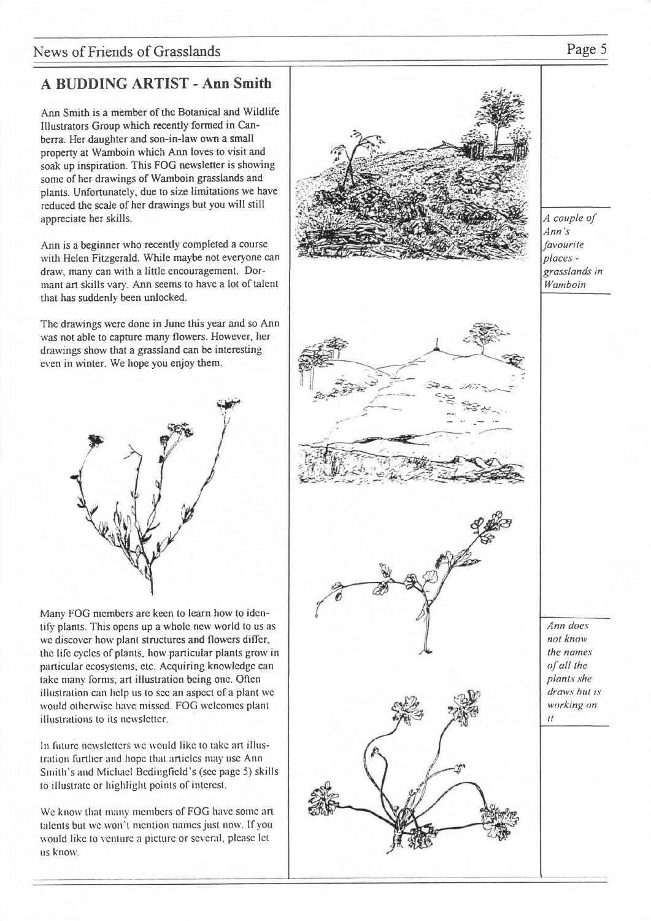# A BUDDING ARTIST - Ann Smith

Ann Smith is a member of the Botanical and Wildlife Illustrators Group which recently formed in Canberra. Her daughter and son-in-law own a small property at Wamboin which Ann loves to visit and soak up inspiration. This FOG newsletter is showing some of her drawings of Wamboin grasslands and plants. Unfortunately, due to size limitations we have reduced the scale of her drawings but you will still appreciate her skills.

Ann is a beginner who recently completed a course with Helen Fitzgerald. While maybe not everyone can draw, many can with a little encouragement. Dormant art skills vary. Ann seems to have a lot of talent that has suddenly been unlocked.

The drawings were done in June this year and so Ann was not able to capture many flowers. However, her drarvings show that a grassland can be interesting even in winter. We hope you enjoy them.



Many FOG membcrs arc keen to learn how to idcntity plants. This opcns up a wholc new world to us as we discover how plant structures and flowers differ, the life cycles of plants, how particular plants grow in particular ecosystems, etc. Acquiring knowledge can take many forms; art illustration being one. Often illustration can help us to see an aspect of a plant we would otherwise have missed. FOG welcomes plant illustrations to its newsletter.

In future newsletters we would like to take art illustration further and hope that articles may use Ann Smith's and Michael Bedingfield's (see page 5) skills to illustrate or highlight points of interest.

We know that many members of FOG have some art talents but we won't mention names just now. If you would like to venture a picture or several, please let us know.



A couple of Ann's *favourite* places grasslands in lYamboin

Ann does not know the names  $of$  all the plants she draws hut is working on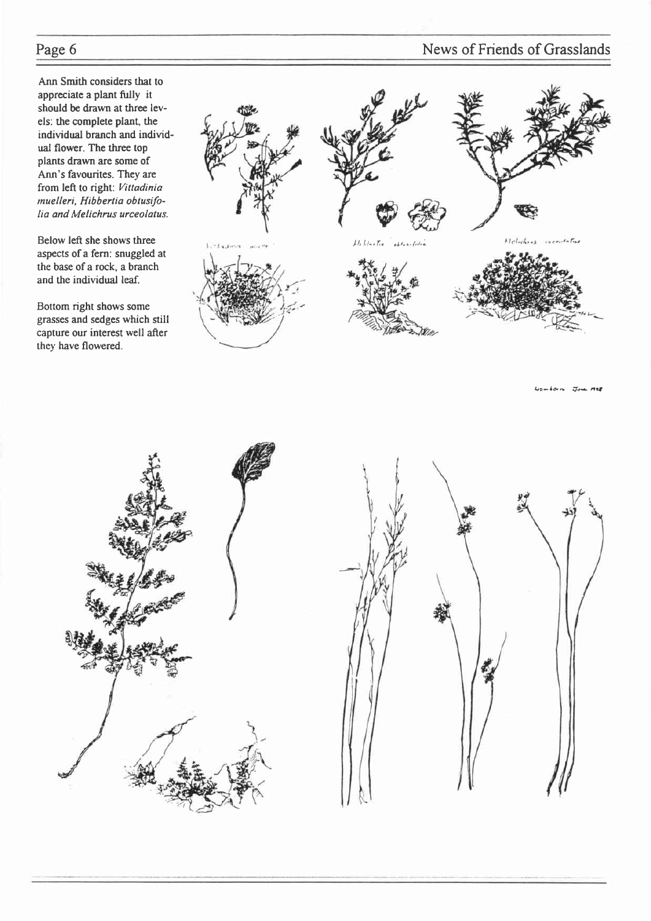Ann Smith considers that to appreciate a plant fully it should be drawn at three levels: the complete plant, the individual branch and individual flower. The three top plants drawn are some of Ann's favourites. They are from left to right: Vittadinia muelleri, Hibbertia obtusifolia and Melichrus urceolatus.

Below left she shows three aspects of a fern: snuggled at the base of a rock, a branch and the individual leaf.

Bottom right shows some grasses and sedges which still capture our interest well after they have flowered.



 $L_0 = \frac{1}{2}$ 





# Page 6 News of Friends of Grasslands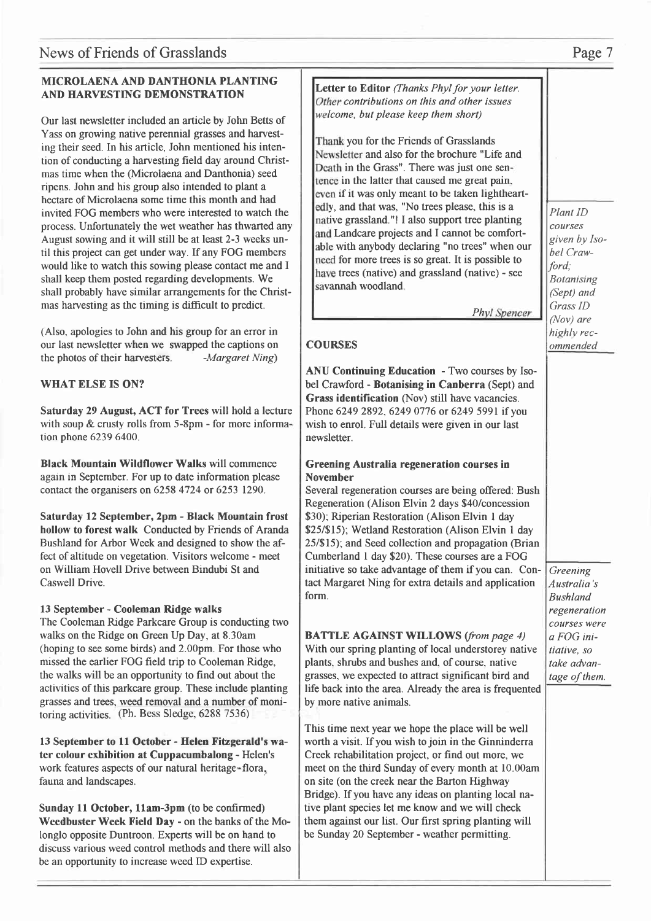### MICROLAENA AND DANTHONIA PLANTI AND HARVESTING DEMONSTRATION

Our last newsletter included an article by John Be Yass on growing native perennial grasses and har ing their seed. In his article, John mentioned his in tion of conducting a harvesting field day around On mas time when the (Microlaena and Danthonia) s ripens. John and his group also intended to plant hectare of Microlaena some time this month and invited FOG members who were interested to wate process. Unfortunately the wet weather has thwart August sowing and it will still be at least 2-3 week til this project can get under way. If any FOG members would like to watch this sowing please contact me shall keep them posted regarding developments. shall probably have similar arrangements for the mas harvesting as the timing is difficult to predict

(Also, apologies to John and his group for an error our last newsletter when we swapped the captions the photos of their harvesters.  $-Margaret N$ 

### WHAT ELSE IS ON?

Saturday 29 August, ACT for Trees will hold a with soup  $&$  crusty rolls from 5-8pm - for more in tion phone 6239 6400.

Black Mountain Wildflower Walks will comment again in September. For up to date information pl contact the organisers on 6258 4724 or 6253 1290.

Saturday 12 September, 2pm - Black Mountain hollow to forest walk Conducted by Friends of  $A$ Bushland for Arbor Week and designed to show the fect of altitude on vegetation. Visitors welcome - r on William Hovell Drive between Bindubi St and Caswell Drive.

#### 13 September - Cooleman Ridge walks

The Cooleman Ridge Parkcare Group is conducting walks on the Ridge on Green Up Day, at 8.30am (hoping to see some birds) and  $2.00 \text{pm}$ . For those missed the earlier FOG field trip to Cooleman Rid the walks will be an opportunity to find out about activities of this parkcare group. These include pla grasses and trees, weed removal and a number of toring activities. (Ph. Bess Sledge, 6288 7536)

13 September to 11 October - Helen Fitzgerald ter colour exhibition at Cuppacumbalong - Hele work features aspects of our natural heritage-flora fauna and landscapes.

Sunday 11 October, 11am-3pm (to be confirmed) Weedbuster Week Field Day - on the banks of the longlo opposite Duntroon. Experts will be on hand discuss various weed control methods and there w be an opportunity to increase weed ID expertise.

| NG            |                                                                                      |                   |
|---------------|--------------------------------------------------------------------------------------|-------------------|
|               | Letter to Editor (Thanks Phyl for your letter.                                       |                   |
|               | Other contributions on this and other issues<br>welcome, but please keep them short) |                   |
| etts of       |                                                                                      |                   |
| vest-         | Thank you for the Friends of Grasslands                                              |                   |
| inten-        | Newsletter and also for the brochure "Life and                                       |                   |
| Christ-       | Death in the Grass". There was just one sen-                                         |                   |
| eed           | tence in the latter that caused me great pain.                                       |                   |
| a             | even if it was only meant to be taken lightheart-                                    |                   |
| had           | edly, and that was, "No trees please, this is a                                      |                   |
| ch the        | native grassland."! I also support tree planting                                     | Plant ID          |
| ted any       | and Landcare projects and I cannot be comfort-                                       | courses           |
| ks un-        | able with anybody declaring "no trees" when our                                      | given by Iso-     |
| mbers         | need for more trees is so great. It is possible to                                   | bel Craw-         |
| e and I       | have trees (native) and grassland (native) - see                                     | ford;             |
| Nе            | savannah woodland.                                                                   | <b>Botanising</b> |
| Christ-       |                                                                                      | (Sept) and        |
| ħ.            | <b>Phyl Spencer</b>                                                                  | Grass ID          |
|               |                                                                                      | (Nov) are         |
| r in          |                                                                                      | highly rec-       |
| s on          | <b>COURSES</b>                                                                       | ommended          |
| ing)          |                                                                                      |                   |
|               | ANU Continuing Education - Two courses by Iso-                                       |                   |
|               | bel Crawford - Botanising in Canberra (Sept) and                                     |                   |
|               | Grass identification (Nov) still have vacancies.                                     |                   |
| lecture       | Phone 6249 2892, 6249 0776 or 6249 5991 if you                                       |                   |
| forma-        | wish to enrol. Full details were given in our last                                   |                   |
|               | newsletter.                                                                          |                   |
|               |                                                                                      |                   |
| nce           | <b>Greening Australia regeneration courses in</b>                                    |                   |
| ease          | <b>November</b>                                                                      |                   |
| ).            | Several regeneration courses are being offered: Bush                                 |                   |
|               | Regeneration (Alison Elvin 2 days \$40/concession                                    |                   |
| n frost       | \$30); Riperian Restoration (Alison Elvin 1 day                                      |                   |
| ⊾randa        | \$25/\$15); Wetland Restoration (Alison Elvin 1 day                                  |                   |
| he af-        | 25/\$15); and Seed collection and propagation (Brian                                 |                   |
| meet          | Cumberland 1 day \$20). These courses are a FOG                                      |                   |
|               | initiative so take advantage of them if you can. Con-                                | Greening          |
|               | tact Margaret Ning for extra details and application                                 | Australia's       |
|               | form.                                                                                | <b>Bushland</b>   |
|               |                                                                                      | regeneration      |
| ig two        |                                                                                      | courses were      |
|               | <b>BATTLE AGAINST WILLOWS</b> (from page 4)                                          | a FOG ini-        |
| who           | With our spring planting of local understorey native                                 | tiative, so       |
| lge,          | plants, shrubs and bushes and, of course, native                                     | take advan-       |
| the           | grasses, we expected to attract significant bird and                                 | tage of them.     |
| anting        | life back into the area. Already the area is frequented                              |                   |
| moni-         | by more native animals.                                                              |                   |
|               |                                                                                      |                   |
|               | This time next year we hope the place will be well                                   |                   |
| 's wa-        | worth a visit. If you wish to join in the Ginninderra                                |                   |
| en's          | Creek rehabilitation project, or find out more, we                                   |                   |
| ı,            | meet on the third Sunday of every month at 10.00am                                   |                   |
|               | on site (on the creek near the Barton Highway                                        |                   |
|               | Bridge). If you have any ideas on planting local na-                                 |                   |
| $\mathcal{E}$ | tive plant species let me know and we will check                                     |                   |
| ie Mo-        | them against our list. Our first spring planting will                                |                   |
| d to          | be Sunday 20 September - weather permitting.                                         |                   |
| ill also      |                                                                                      |                   |
|               |                                                                                      |                   |